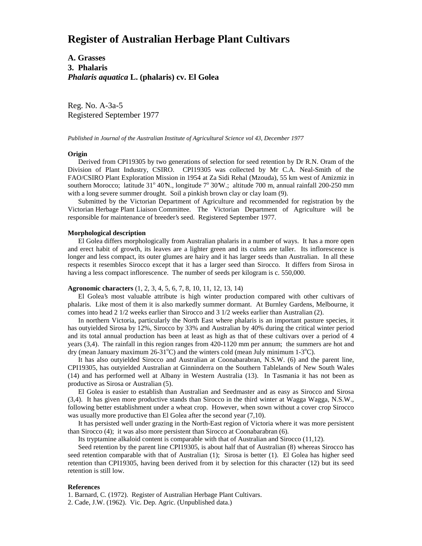# **Register of Australian Herbage Plant Cultivars**

**A. Grasses 3. Phalaris** *Phalaris aquatica* **L. (phalaris) cv. El Golea**

Reg. No. A-3a-5 Registered September 1977

*Published in Journal of the Australian Institute of Agricultural Science vol 43, December 1977*

## **Origin**

 Derived from CPI19305 by two generations of selection for seed retention by Dr R.N. Oram of the Division of Plant Industry, CSIRO. CPI19305 was collected by Mr C.A. Neal-Smith of the FAO/CSIRO Plant Exploration Mission in 1954 at Za Sidi Rehal (Mzouda), 55 km west of Amizmiz in southern Morocco; latitude 31° 40'N., longitude 7° 30'W.; altitude 700 m, annual rainfall 200-250 mm with a long severe summer drought. Soil a pinkish brown clay or clay loam (9).

 Submitted by the Victorian Department of Agriculture and recommended for registration by the Victorian Herbage Plant Liaison Committee. The Victorian Department of Agriculture will be responsible for maintenance of breeder's seed. Registered September 1977.

## **Morphological description**

 El Golea differs morphologically from Australian phalaris in a number of ways. It has a more open and erect habit of growth, its leaves are a lighter green and its culms are taller. Its inflorescence is longer and less compact, its outer glumes are hairy and it has larger seeds than Australian. In all these respects it resembles Sirocco except that it has a larger seed than Sirocco. It differs from Sirosa in having a less compact inflorescence. The number of seeds per kilogram is c. 550,000.

## **Agronomic characters** (1, 2, 3, 4, 5, 6, 7, 8, 10, 11, 12, 13, 14)

 El Golea's most valuable attribute is high winter production compared with other cultivars of phalaris. Like most of them it is also markedly summer dormant. At Burnley Gardens, Melbourne, it comes into head 2 1/2 weeks earlier than Sirocco and 3 1/2 weeks earlier than Australian (2).

 In northern Victoria, particularly the North East where phalaris is an important pasture species, it has outyielded Sirosa by 12%, Sirocco by 33% and Australian by 40% during the critical winter period and its total annual production has been at least as high as that of these cultivars over a period of 4 years (3,4). The rainfall in this region ranges from 420-1120 mm per annum; the summers are hot and dry (mean January maximum 26-31°C) and the winters cold (mean July minimum 1-3°C).

 It has also outyielded Sirocco and Australian at Coonabarabran, N.S.W. (6) and the parent line, CPI19305, has outyielded Australian at Ginninderra on the Southern Tablelands of New South Wales (14) and has performed well at Albany in Western Australia (13). In Tasmania it has not been as productive as Sirosa or Australian (5).

 El Golea is easier to establish than Australian and Seedmaster and as easy as Sirocco and Sirosa (3,4). It has given more productive stands than Sirocco in the third winter at Wagga Wagga, N.S.W., following better establishment under a wheat crop. However, when sown without a cover crop Sirocco was usually more productive than El Golea after the second year  $(7,10)$ .

 It has persisted well under grazing in the North-East region of Victoria where it was more persistent than Sirocco (4); it was also more persistent than Sirocco at Coonabarabran (6).

Its tryptamine alkaloid content is comparable with that of Australian and Sirocco (11,12).

 Seed retention by the parent line CPI19305, is about half that of Australian (8) whereas Sirocco has seed retention comparable with that of Australian (1); Sirosa is better (1). El Golea has higher seed retention than CPI19305, having been derived from it by selection for this character (12) but its seed retention is still low.

## **References**

1. Barnard, C. (1972). Register of Australian Herbage Plant Cultivars.

2. Cade, J.W. (1962). Vic. Dep. Agric. (Unpublished data.)